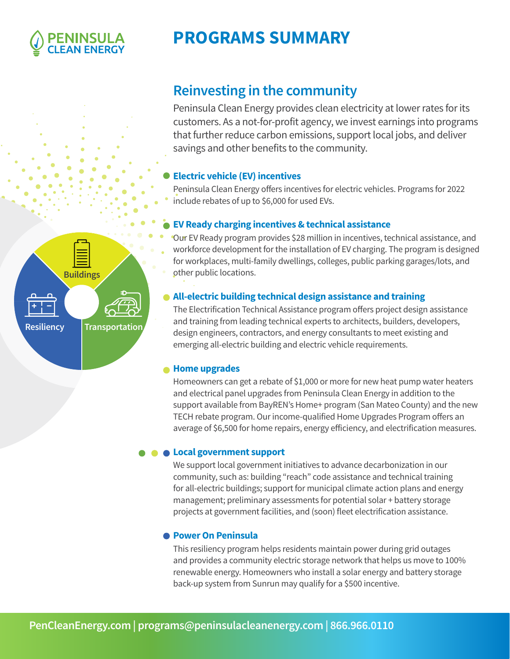

# **PROGRAMS SUMMARY**



**Resiliency Transportation**

## **Reinvesting in the community**

Peninsula Clean Energy provides clean electricity at lower rates for its customers. As a not-for-profit agency, we invest earnings into programs that further reduce carbon emissions, support local jobs, and deliver savings and other benefits to the community.

### **Electric vehicle (EV) incentives**

Peninsula Clean Energy offers incentives for electric vehicles. Programs for 2022 include rebates of up to \$6,000 for used EVs.

### **EV Ready charging incentives & technical assistance**

for workplaces, multi-family dwellings, colleges, public parking garages/lots, and **other public locations.** workforce development for the installation of EV charging. The program is designed Our EV Ready program provides \$28 million in incentives, technical assistance, and

### **All-electric building technical design assistance and training**

**Fleet** emerging all-electric building and electric vehicle requirements. The Electrification Technical Assistance program offers project design assistance and training from leading technical experts to architects, builders, developers, design engineers, contractors, and energy consultants to meet existing and

### **Home upgrades**

Homeowners can get a rebate of \$1,000 or more for new heat pump water heaters and electrical panel upgrades from Peninsula Clean Energy in addition to the support available from BayREN's Home+ program (San Mateo County) and the new TECH rebate program. Our income-qualified Home Upgrades Program offers an average of \$6,500 for home repairs, energy efficiency, and electrification measures.

### **Local government support**

We support local government initiatives to advance decarbonization in our community, such as: building "reach" code assistance and technical training for all-electric buildings; support for municipal climate action plans and energy management; preliminary assessments for potential solar + battery storage projects at government facilities, and (soon) fleet electrification assistance.

### **Power On Peninsula**

This resiliency program helps residents maintain power during grid outages and provides a community electric storage network that helps us move to 100% renewable energy. Homeowners who install a solar energy and battery storage back-up system from Sunrun may qualify for a \$500 incentive.